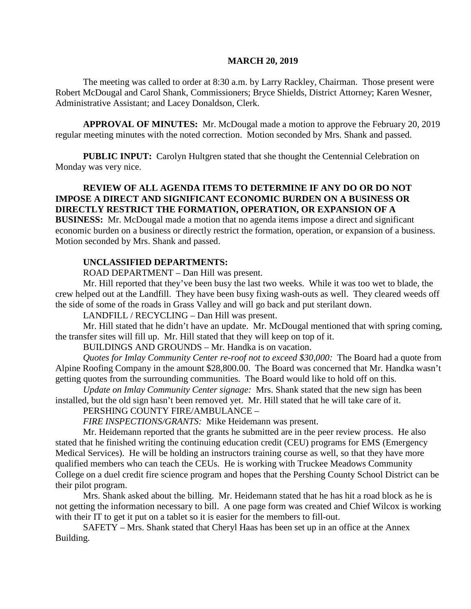#### **MARCH 20, 2019**

The meeting was called to order at 8:30 a.m. by Larry Rackley, Chairman. Those present were Robert McDougal and Carol Shank, Commissioners; Bryce Shields, District Attorney; Karen Wesner, Administrative Assistant; and Lacey Donaldson, Clerk.

**APPROVAL OF MINUTES:** Mr. McDougal made a motion to approve the February 20, 2019 regular meeting minutes with the noted correction. Motion seconded by Mrs. Shank and passed.

**PUBLIC INPUT:** Carolyn Hultgren stated that she thought the Centennial Celebration on Monday was very nice.

# **REVIEW OF ALL AGENDA ITEMS TO DETERMINE IF ANY DO OR DO NOT IMPOSE A DIRECT AND SIGNIFICANT ECONOMIC BURDEN ON A BUSINESS OR DIRECTLY RESTRICT THE FORMATION, OPERATION, OR EXPANSION OF A**

**BUSINESS:** Mr. McDougal made a motion that no agenda items impose a direct and significant economic burden on a business or directly restrict the formation, operation, or expansion of a business. Motion seconded by Mrs. Shank and passed.

#### **UNCLASSIFIED DEPARTMENTS:**

ROAD DEPARTMENT – Dan Hill was present.

Mr. Hill reported that they've been busy the last two weeks. While it was too wet to blade, the crew helped out at the Landfill. They have been busy fixing wash-outs as well. They cleared weeds off the side of some of the roads in Grass Valley and will go back and put sterilant down.

LANDFILL / RECYCLING – Dan Hill was present.

Mr. Hill stated that he didn't have an update. Mr. McDougal mentioned that with spring coming, the transfer sites will fill up. Mr. Hill stated that they will keep on top of it.

BUILDINGS AND GROUNDS – Mr. Handka is on vacation.

*Quotes for Imlay Community Center re-roof not to exceed \$30,000:* The Board had a quote from Alpine Roofing Company in the amount \$28,800.00. The Board was concerned that Mr. Handka wasn't getting quotes from the surrounding communities. The Board would like to hold off on this.

*Update on Imlay Community Center signage:* Mrs. Shank stated that the new sign has been installed, but the old sign hasn't been removed yet. Mr. Hill stated that he will take care of it.

PERSHING COUNTY FIRE/AMBULANCE –

*FIRE INSPECTIONS/GRANTS:* Mike Heidemann was present.

Mr. Heidemann reported that the grants he submitted are in the peer review process. He also stated that he finished writing the continuing education credit (CEU) programs for EMS (Emergency Medical Services). He will be holding an instructors training course as well, so that they have more qualified members who can teach the CEUs. He is working with Truckee Meadows Community College on a duel credit fire science program and hopes that the Pershing County School District can be their pilot program.

Mrs. Shank asked about the billing. Mr. Heidemann stated that he has hit a road block as he is not getting the information necessary to bill. A one page form was created and Chief Wilcox is working with their IT to get it put on a tablet so it is easier for the members to fill-out.

SAFETY – Mrs. Shank stated that Cheryl Haas has been set up in an office at the Annex Building.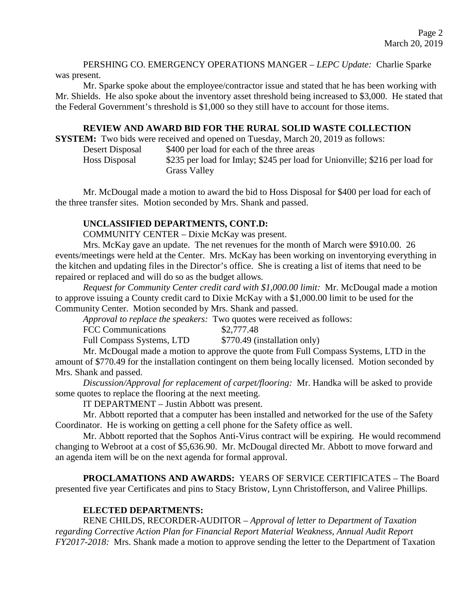PERSHING CO. EMERGENCY OPERATIONS MANGER – *LEPC Update:* Charlie Sparke was present.

Mr. Sparke spoke about the employee/contractor issue and stated that he has been working with Mr. Shields. He also spoke about the inventory asset threshold being increased to \$3,000. He stated that the Federal Government's threshold is \$1,000 so they still have to account for those items.

## **REVIEW AND AWARD BID FOR THE RURAL SOLID WASTE COLLECTION**

**SYSTEM:** Two bids were received and opened on Tuesday, March 20, 2019 as follows:

| Desert Disposal | \$400 per load for each of the three areas                                  |
|-----------------|-----------------------------------------------------------------------------|
| Hoss Disposal   | \$235 per load for Imlay; \$245 per load for Unionville; \$216 per load for |
|                 | <b>Grass Valley</b>                                                         |

Mr. McDougal made a motion to award the bid to Hoss Disposal for \$400 per load for each of the three transfer sites. Motion seconded by Mrs. Shank and passed.

# **UNCLASSIFIED DEPARTMENTS, CONT.D:**

COMMUNITY CENTER – Dixie McKay was present.

Mrs. McKay gave an update. The net revenues for the month of March were \$910.00. 26 events/meetings were held at the Center. Mrs. McKay has been working on inventorying everything in the kitchen and updating files in the Director's office. She is creating a list of items that need to be repaired or replaced and will do so as the budget allows.

*Request for Community Center credit card with \$1,000.00 limit:* Mr. McDougal made a motion to approve issuing a County credit card to Dixie McKay with a \$1,000.00 limit to be used for the Community Center. Motion seconded by Mrs. Shank and passed.

*Approval to replace the speakers:* Two quotes were received as follows:

FCC Communications \$2,777.48

Full Compass Systems, LTD \$770.49 (installation only)

Mr. McDougal made a motion to approve the quote from Full Compass Systems, LTD in the amount of \$770.49 for the installation contingent on them being locally licensed. Motion seconded by Mrs. Shank and passed.

*Discussion/Approval for replacement of carpet/flooring:* Mr. Handka will be asked to provide some quotes to replace the flooring at the next meeting.

IT DEPARTMENT – Justin Abbott was present.

Mr. Abbott reported that a computer has been installed and networked for the use of the Safety Coordinator. He is working on getting a cell phone for the Safety office as well.

Mr. Abbott reported that the Sophos Anti-Virus contract will be expiring. He would recommend changing to Webroot at a cost of \$5,636.90. Mr. McDougal directed Mr. Abbott to move forward and an agenda item will be on the next agenda for formal approval.

**PROCLAMATIONS AND AWARDS:** YEARS OF SERVICE CERTIFICATES – The Board presented five year Certificates and pins to Stacy Bristow, Lynn Christofferson, and Valiree Phillips.

# **ELECTED DEPARTMENTS:**

RENE CHILDS, RECORDER-AUDITOR – *Approval of letter to Department of Taxation regarding Corrective Action Plan for Financial Report Material Weakness, Annual Audit Report FY2017-2018:* Mrs. Shank made a motion to approve sending the letter to the Department of Taxation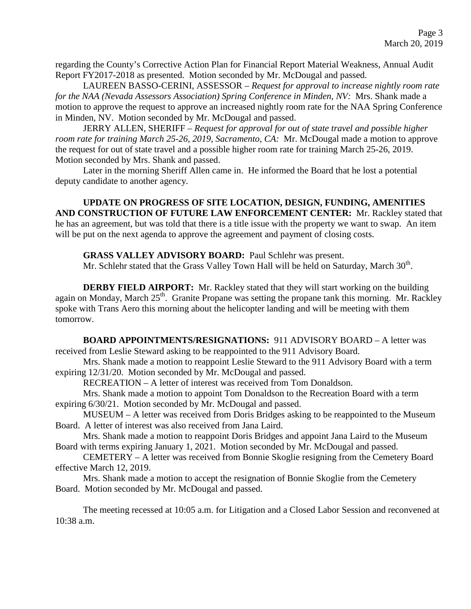regarding the County's Corrective Action Plan for Financial Report Material Weakness, Annual Audit Report FY2017-2018 as presented. Motion seconded by Mr. McDougal and passed.

LAUREEN BASSO-CERINI, ASSESSOR – *Request for approval to increase nightly room rate for the NAA (Nevada Assessors Association) Spring Conference in Minden, NV:* Mrs. Shank made a motion to approve the request to approve an increased nightly room rate for the NAA Spring Conference in Minden, NV. Motion seconded by Mr. McDougal and passed.

JERRY ALLEN, SHERIFF – *Request for approval for out of state travel and possible higher room rate for training March 25-26, 2019, Sacramento, CA:* Mr. McDougal made a motion to approve the request for out of state travel and a possible higher room rate for training March 25-26, 2019. Motion seconded by Mrs. Shank and passed.

Later in the morning Sheriff Allen came in. He informed the Board that he lost a potential deputy candidate to another agency.

**UPDATE ON PROGRESS OF SITE LOCATION, DESIGN, FUNDING, AMENITIES AND CONSTRUCTION OF FUTURE LAW ENFORCEMENT CENTER:** Mr. Rackley stated that he has an agreement, but was told that there is a title issue with the property we want to swap. An item will be put on the next agenda to approve the agreement and payment of closing costs.

# **GRASS VALLEY ADVISORY BOARD:** Paul Schlehr was present.

Mr. Schlehr stated that the Grass Valley Town Hall will be held on Saturday, March 30<sup>th</sup>.

**DERBY FIELD AIRPORT:** Mr. Rackley stated that they will start working on the building again on Monday, March  $25<sup>th</sup>$ . Granite Propane was setting the propane tank this morning. Mr. Rackley spoke with Trans Aero this morning about the helicopter landing and will be meeting with them tomorrow.

**BOARD APPOINTMENTS/RESIGNATIONS:** 911 ADVISORY BOARD – A letter was received from Leslie Steward asking to be reappointed to the 911 Advisory Board.

Mrs. Shank made a motion to reappoint Leslie Steward to the 911 Advisory Board with a term expiring 12/31/20. Motion seconded by Mr. McDougal and passed.

RECREATION – A letter of interest was received from Tom Donaldson.

Mrs. Shank made a motion to appoint Tom Donaldson to the Recreation Board with a term expiring 6/30/21. Motion seconded by Mr. McDougal and passed.

MUSEUM – A letter was received from Doris Bridges asking to be reappointed to the Museum Board. A letter of interest was also received from Jana Laird.

Mrs. Shank made a motion to reappoint Doris Bridges and appoint Jana Laird to the Museum Board with terms expiring January 1, 2021. Motion seconded by Mr. McDougal and passed.

CEMETERY – A letter was received from Bonnie Skoglie resigning from the Cemetery Board effective March 12, 2019.

Mrs. Shank made a motion to accept the resignation of Bonnie Skoglie from the Cemetery Board. Motion seconded by Mr. McDougal and passed.

The meeting recessed at 10:05 a.m. for Litigation and a Closed Labor Session and reconvened at 10:38 a.m.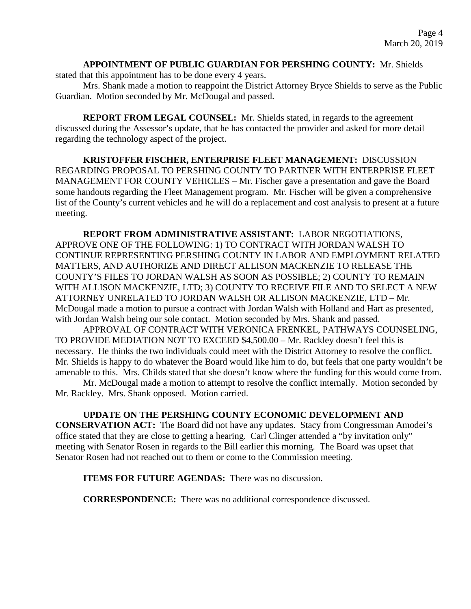## **APPOINTMENT OF PUBLIC GUARDIAN FOR PERSHING COUNTY:** Mr. Shields

stated that this appointment has to be done every 4 years.

Mrs. Shank made a motion to reappoint the District Attorney Bryce Shields to serve as the Public Guardian. Motion seconded by Mr. McDougal and passed.

**REPORT FROM LEGAL COUNSEL:** Mr. Shields stated, in regards to the agreement discussed during the Assessor's update, that he has contacted the provider and asked for more detail regarding the technology aspect of the project.

**KRISTOFFER FISCHER, ENTERPRISE FLEET MANAGEMENT:** DISCUSSION REGARDING PROPOSAL TO PERSHING COUNTY TO PARTNER WITH ENTERPRISE FLEET MANAGEMENT FOR COUNTY VEHICLES – Mr. Fischer gave a presentation and gave the Board some handouts regarding the Fleet Management program. Mr. Fischer will be given a comprehensive list of the County's current vehicles and he will do a replacement and cost analysis to present at a future meeting.

**REPORT FROM ADMINISTRATIVE ASSISTANT:** LABOR NEGOTIATIONS, APPROVE ONE OF THE FOLLOWING: 1) TO CONTRACT WITH JORDAN WALSH TO CONTINUE REPRESENTING PERSHING COUNTY IN LABOR AND EMPLOYMENT RELATED MATTERS, AND AUTHORIZE AND DIRECT ALLISON MACKENZIE TO RELEASE THE COUNTY'S FILES TO JORDAN WALSH AS SOON AS POSSIBLE; 2) COUNTY TO REMAIN WITH ALLISON MACKENZIE, LTD; 3) COUNTY TO RECEIVE FILE AND TO SELECT A NEW ATTORNEY UNRELATED TO JORDAN WALSH OR ALLISON MACKENZIE, LTD – Mr. McDougal made a motion to pursue a contract with Jordan Walsh with Holland and Hart as presented, with Jordan Walsh being our sole contact. Motion seconded by Mrs. Shank and passed.

APPROVAL OF CONTRACT WITH VERONICA FRENKEL, PATHWAYS COUNSELING, TO PROVIDE MEDIATION NOT TO EXCEED \$4,500.00 – Mr. Rackley doesn't feel this is necessary. He thinks the two individuals could meet with the District Attorney to resolve the conflict. Mr. Shields is happy to do whatever the Board would like him to do, but feels that one party wouldn't be amenable to this. Mrs. Childs stated that she doesn't know where the funding for this would come from.

Mr. McDougal made a motion to attempt to resolve the conflict internally. Motion seconded by Mr. Rackley. Mrs. Shank opposed. Motion carried.

**UPDATE ON THE PERSHING COUNTY ECONOMIC DEVELOPMENT AND CONSERVATION ACT:** The Board did not have any updates. Stacy from Congressman Amodei's office stated that they are close to getting a hearing. Carl Clinger attended a "by invitation only" meeting with Senator Rosen in regards to the Bill earlier this morning. The Board was upset that Senator Rosen had not reached out to them or come to the Commission meeting.

**ITEMS FOR FUTURE AGENDAS:** There was no discussion.

**CORRESPONDENCE:** There was no additional correspondence discussed.